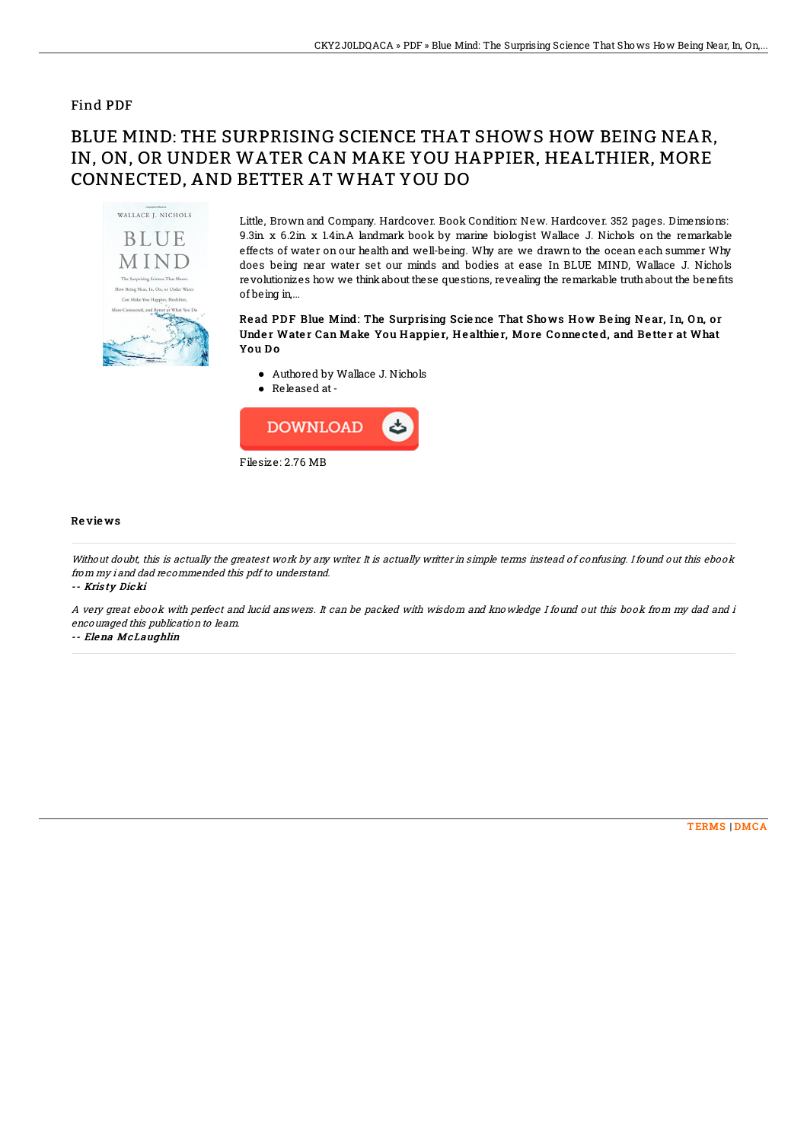### Find PDF

# BLUE MIND: THE SURPRISING SCIENCE THAT SHOWS HOW BEING NEAR, IN, ON, OR UNDER WATER CAN MAKE YOU HAPPIER, HEALTHIER, MORE CONNECTED, AND BETTER AT WHAT YOU DO



Little, Brown and Company. Hardcover. Book Condition: New. Hardcover. 352 pages. Dimensions: 9.3in. x 6.2in. x 1.4in.A landmark book by marine biologist Wallace J. Nichols on the remarkable effects of water on our health and well-being. Why are we drawn to the ocean each summer Why does being near water set our minds and bodies at ease In BLUE MIND, Wallace J. Nichols revolutionizes how we think about these questions, revealing the remarkable truth about the benefits of being in,...

#### Read PDF Blue Mind: The Surprising Science That Shows How Being Near, In, On, or Under Water Can Make You Happier, Healthier, More Connected, and Better at What You Do

- Authored by Wallace J. Nichols
- Released at-



#### Re vie ws

Without doubt, this is actually the greatest work by any writer. It is actually writter in simple terms instead of confusing. I found out this ebook from my i and dad recommended this pdf to understand.

-- Kris ty Dicki

A very great ebook with perfect and lucid answers. It can be packed with wisdom and knowledge I found out this book from my dad and i encouraged this publication to learn.

-- Elena McLaughlin